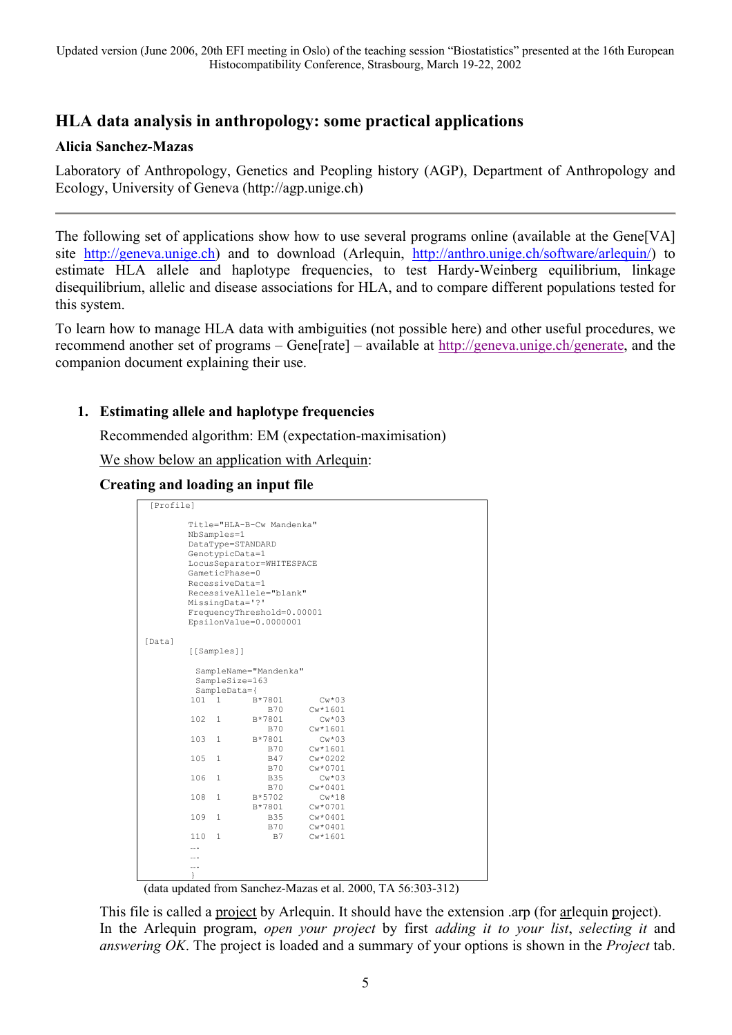# **HLA data analysis in anthropology: some practical applications**

# **Alicia Sanchez-Mazas**

Laboratory of Anthropology, Genetics and Peopling history (AGP), Department of Anthropology and Ecology, University of Geneva (http://agp.unige.ch)

The following set of applications show how to use several programs online (available at the Gene[VA] site [http://geneva.unige.ch\)](http://geneva.unige.ch/) and to download (Arlequin, <http://anthro.unige.ch/software/arlequin/>) to estimate HLA allele and haplotype frequencies, to test Hardy-Weinberg equilibrium, linkage disequilibrium, allelic and disease associations for HLA, and to compare different populations tested for this system.

To learn how to manage HLA data with ambiguities (not possible here) and other useful procedures, we recommend another set of programs – Gene[rate] – available at http://geneva.unige.ch/generate, and the companion document explaining their use.

# **1. Estimating allele and haplotype frequencies**

Recommended algorithm: EM (expectation-maximisation)

We show below an application with Arlequin:

# **Creating and loading an input file**

```
 [Profile] 
           Title="HLA-B-Cw Mandenka" 
           NbSamples=1 
           DataType=STANDARD 
           GenotypicData=1 
           LocusSeparator=WHITESPACE 
           GameticPhase=0 
           RecessiveData=1 
           RecessiveAllele="blank" 
           MissingData='?' 
           FrequencyThreshold=0.00001 
           EpsilonValue=0.0000001 

[Data] 
           [[Samples]] 
            SampleName="Mandenka" 
            SampleSize=163 
          SampleData={<br>101 1 B
                       B*7801 CW*03<br>R70 CW*1601B70 Cw*1601<br>B*7801 Cw*03
          102 1 B*7801B70 Cw*1601<br>103 1 B*7801 Cw*03
                         B*7801<br>B70B70 Cw*1601<br>B47 Cw*0202
          \begin{array}{cccc}\n105 & 1 & & & \text{B47} \\
 & & & \text{B70}\n\end{array}B70 Cw*0701<br>B35 Cw*03106 \t1B70 Cw*0401<br>108 1 R*5702 Cw*18
                         B*5702<br>B*7801B*7801 Cw*0701<br>109 1 B35 Cw*0401
 109 1 B35 Cw*0401 
 B70 Cw*0401 
           110 1 B7 Cw*1601 
           …. 
           …. 
           …. 
 }
```
(data updated from Sanchez-Mazas et al. 2000, TA 56:303-312)

This file is called a project by Arlequin. It should have the extension .arp (for arlequin project). In the Arlequin program, *open your project* by first *adding it to your list*, *selecting it* and *answering OK*. The project is loaded and a summary of your options is shown in the *Project* tab.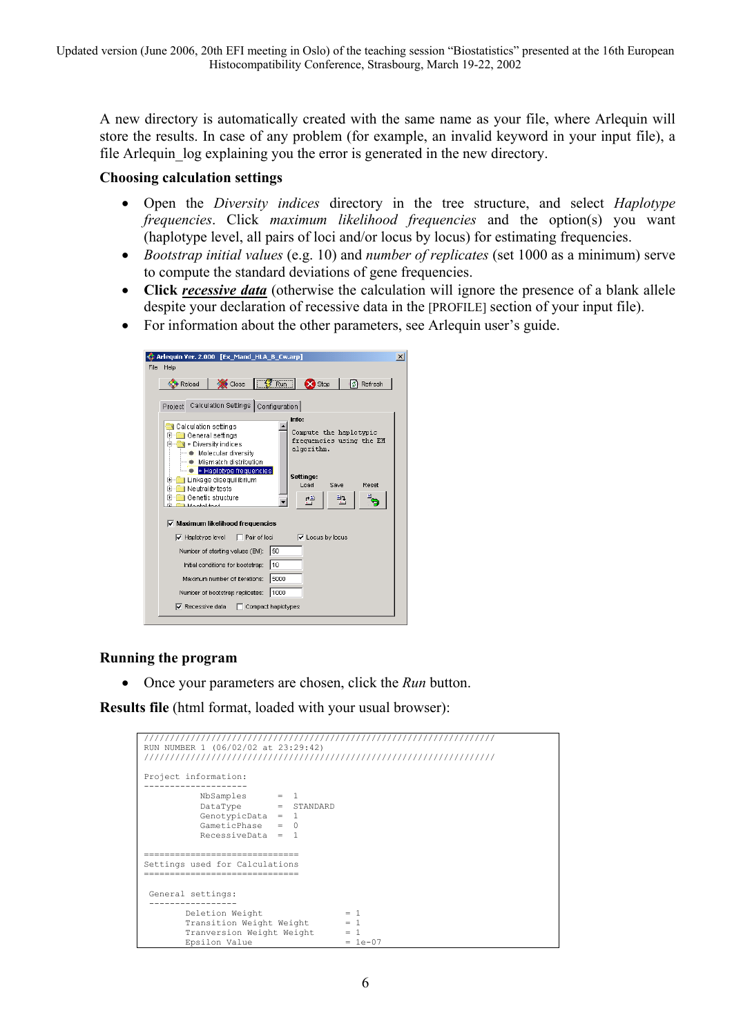A new directory is automatically created with the same name as your file, where Arlequin will store the results. In case of any problem (for example, an invalid keyword in your input file), a file Arlequin log explaining you the error is generated in the new directory.

# **Choosing calculation settings**

- Open the *Diversity indices* directory in the tree structure, and select *Haplotype frequencies*. Click *maximum likelihood frequencies* and the option(s) you want (haplotype level, all pairs of loci and/or locus by locus) for estimating frequencies.
- *Bootstrap initial values* (e.g. 10) and *number of replicates* (set 1000 as a minimum) serve to compute the standard deviations of gene frequencies.
- **Click** *recessive data* (otherwise the calculation will ignore the presence of a blank allele despite your declaration of recessive data in the [PROFILE] section of your input file).
- For information about the other parameters, see Arlequin user's guide.

| Arlequin Ver. 2.000 [Ex_Mand_HLA_B_Cw.arp]                                                                                                                                                                              | $\vert x \vert$ |
|-------------------------------------------------------------------------------------------------------------------------------------------------------------------------------------------------------------------------|-----------------|
| File<br>Help                                                                                                                                                                                                            |                 |
| Run<br>$\sum$ Stop<br>lø.<br>$\bullet$ Close<br>Refresh<br>Reload                                                                                                                                                       |                 |
| Calculation Settings   Configuration  <br>Project                                                                                                                                                                       |                 |
| Info:<br>Calculation settings<br>Compute the haplotypic<br>General settings<br>$\overline{+}$<br>frequencies using the EM<br><b>E</b> + Diversity indices<br>algorithm.<br>Molecular diversity<br>Mismatch distribution |                 |
| + Haplotype frequencies<br>Settings:<br>Linkage diseguilibrium<br>$\overline{+}$<br>Load<br>Reset<br>Save<br>Neutrality tests<br>$\mathbf{F}$<br>Genetic structure<br>⊞<br>動き<br>₫₹<br>Montal toot                      |                 |
| $\triangledown$ Maximum likelihood frequencies                                                                                                                                                                          |                 |
| $\overline{\mathbf{v}}$ Haplotype level<br>Pair of loci<br>$\triangledown$ Locus by locus                                                                                                                               |                 |
| 50<br>Number of starting values (EM):                                                                                                                                                                                   |                 |
| 10<br>Initial conditions for bootstrap:                                                                                                                                                                                 |                 |
| 5000<br>Maximum number of iterations:                                                                                                                                                                                   |                 |
| 1000<br>Number of bootstrap replicates:                                                                                                                                                                                 |                 |
| $\nabla$ Recessive data<br>Compact haplotypes                                                                                                                                                                           |                 |
|                                                                                                                                                                                                                         |                 |

# **Running the program**

• Once your parameters are chosen, click the *Run* button.

**Results file** (html format, loaded with your usual browser):

| 7777777777777777777777777777<br>RUN NUMBER 1 (06/02/02 at 23:29:42)                       |                       |                                    |  |  |  |  |
|-------------------------------------------------------------------------------------------|-----------------------|------------------------------------|--|--|--|--|
| Project information:                                                                      |                       |                                    |  |  |  |  |
| NbSamples<br>DataType<br>GenotypicData = $1$<br>$GameticPhase = 0$<br>$RecessiveData = 1$ | $= 1$<br>$=$ STANDARD |                                    |  |  |  |  |
| ----------------------<br>Settings used for Calculations<br>=========================     |                       |                                    |  |  |  |  |
| General settings:                                                                         |                       |                                    |  |  |  |  |
| Deletion Weight<br>Transition Weight Weight<br>Tranversion Weight Weight<br>Epsilon Value |                       | $=$ 1<br>$=$ 1<br>$=$<br>$= 1e-07$ |  |  |  |  |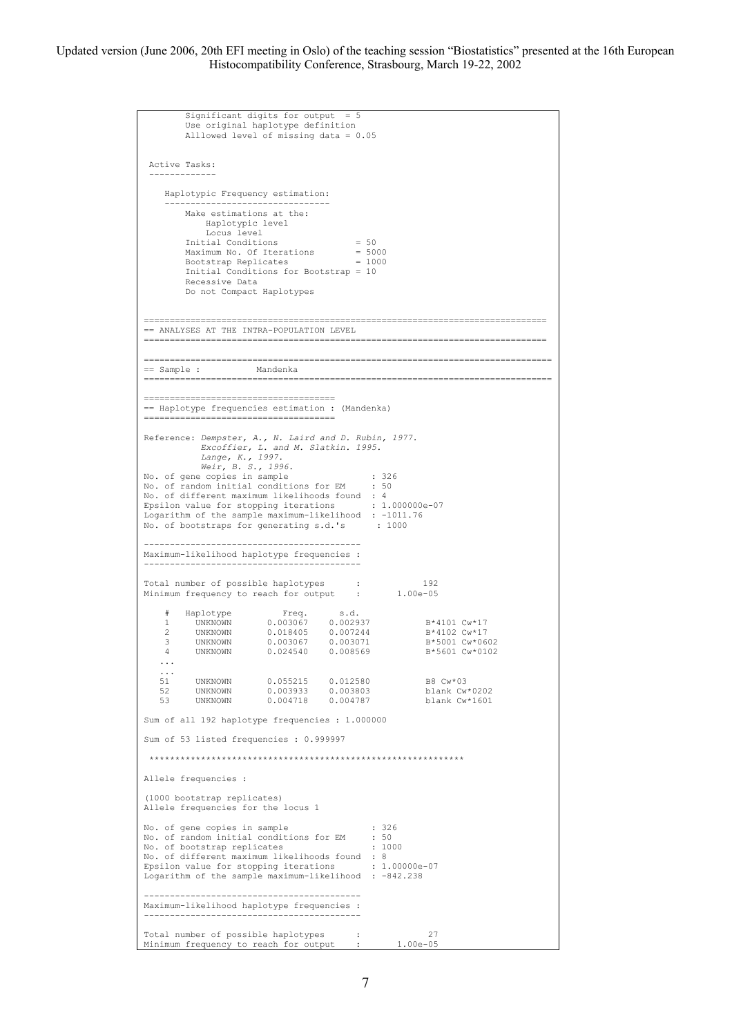```
Significant digits for output
           Use original haplotype definition 
           Alllowed level of missing data = 0.05 
  Active Tasks: 
 ------------- 
      Haplotypic Frequency estimation: 
 -------------------------------- 
           Make estimations at the: 
              Haplotypic level 
          Locus level<br>Initial Conditions
 Initial Conditions = 50 
 Maximum No. Of Iterations = 5000 
 Bootstrap Replicates = 1000 
           Initial Conditions for Bootstrap = 10 
           Recessive Data 
           Do not Compact Haplotypes 
                                                         ============================================================================== 
== ANALYSES AT THE INTRA-POPULATION LEVEL 
============================================================================== 
=============================================================================== 
== Sample :<br>------------------------
=============================================================================== 
===================================== 
== Haplotype frequencies estimation : (Mandenka) 
===================================== 
Reference: Dempster, A., N. Laird and D. Rubin, 1977.
               Excoffier, L. and M. Slatkin. 1995.
 Lange, K., 1997.
 Weir, B. S., 1996.
No. of gene copies in sample : 326 
No. of random initial conditions for EM : 50 
No. of different maximum likelihoods found : 4 
Epsilon value for stopping iterations for stopping iterations : 1.000000e-07<br>Epsilon value for stopping iterations : 1.000000e-07
Logarithm of the sample maximum-likelihood : -1011.76
No. of bootstraps for generating s.d.'s : 1000
------------------------------------------ 
Maximum-likelihood haplotype frequencies : 
------------------------------------------ 
Total number of possible haplotypes : 192<br>Minimum frequency to reach for output : 1.00e-05
Total number of possible hapiotypes :<br>Minimum frequency to reach for output :
% Haplotype Freq. s.d.<br>1 UNKNOWN 0.003067 0.002937 B*4101 Cw*17<br>2 UNKNOWN 0.003067 0.003071 B*5001 Cw*0602<br>4 UNKNOWN 0.024540 0.008569 B*5601 Cw*0102
     ... 
   \frac{1}{51}.
 51 UNKNOWN 0.055215 0.012580 B8 Cw*03 
 52 UNKNOWN 0.003933 0.003803 blank Cw*0202 
 53 UNKNOWN 0.004718 0.004787 blank Cw*1601 
Sum of all 192 haplotype frequencies : 1.000000 
Sum of 53 listed frequencies : 0.999997 
  ************************************************************* 
Allele frequencies : 
(1000 bootstrap replicates) 
Allele frequencies for the locus 1 
No. of gene copies in sample : 326
No. of random initial conditions for EM : 50
No. of bootstrap replicates : 1000 
No. of different maximum likelihoods found : 8 
Epsilon value for stopping iterations : 1.00000e-07
Logarithm of the sample maximum-likelihood : -842.238 
    ------------------------------------------ 
Maximum-likelihood haplotype frequencies : 
------------------------------------------ 
Total number of possible haplotypes : 27 
Minimum frequency to reach for output : 1.00e-05
```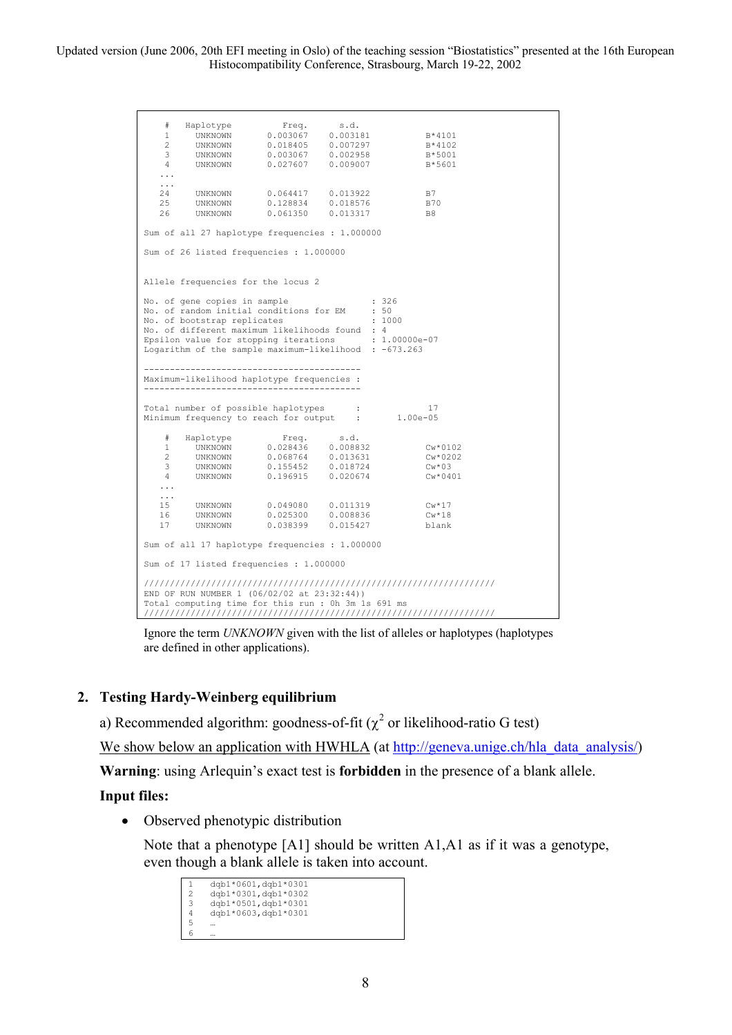> # Haplotype Freq. s.d. 1 UNKNOWN 0.003067 0.003181 B\*4101 2 UNKNOWN 0.018405 0.007297 B\*4102 3 UNKNOWN 0.003067 0.002958 B\*5001 4 UNKNOWN 0.027607 0.009007 B\*5601 ...  $\frac{1}{24}$  24 UNKNOWN 0.064417 0.013922 B7 25 UNKNOWN 0.128834 0.018576 B70 26 UNKNOWN 0.061350 0.013317 B8 Sum of all 27 haplotype frequencies : 1.000000 Sum of 26 listed frequencies : 1.000000 Allele frequencies for the locus 2 No. of gene copies in sample : 326<br>No. of random initial conditions for EM : 50 No. of random initial conditions for EM : 50<br>No. of bootstrap replicates : 1000 No. of bootstrap replicates No. of different maximum likelihoods found : 4<br>Epsilon value for stopping iterations : 1.00000e-07 Epsilon value for stopping iterations Logarithm of the sample maximum-likelihood : -673.263 ------------------------------------------ Maximum-likelihood haplotype frequencies : ------------------------------------------ Total number of possible haplotypes : 17<br>Minimum frequency to reach for output : 1.00e-05  $Minimum frequency to reach for output :$  # Haplotype Freq. s.d. 1 UNKNOWN 0.028436 0.008832 Cw\*0102 2 UNKNOWN 0.068764 0.013631 Cw\*0202 3 UNKNOWN 0.155452 0.018724 Cw\*03 4 UNKNOWN 0.196915 0.020674 Cw\*0401 ... ... 15 UNKNOWN 0.049080 0.011319 Cw\*17 16 UNKNOWN 0.025300 0.008836 Cw\*18 17 UNKNOWN 0.038399 0.015427 blank Sum of all 17 haplotype frequencies : 1.000000 Sum of 17 listed frequencies : 1.000000 //////////////////////////////////////////////////////////////////// END OF RUN NUMBER 1 (06/02/02 at 23:32:44)) Total computing time for this run : 0h 3m 1s 691 ms ////////////////////////////////////////////////////////////////////

Ignore the term *UNKNOWN* given with the list of alleles or haplotypes (haplotypes are defined in other applications).

### **2. Testing Hardy-Weinberg equilibrium**

a) Recommended algorithm: goodness-of-fit ( $\chi^2$  or likelihood-ratio G test)

We show below an application with HWHLA (at [http://geneva.unige.ch/hla\\_data\\_analysis/](http://geneva.unige.ch/tools/))

**Warning**: using Arlequin's exact test is **forbidden** in the presence of a blank allele.

#### **Input files:**

• Observed phenotypic distribution

Note that a phenotype [A1] should be written A1,A1 as if it was a genotype, even though a blank allele is taken into account.

 $\frac{1}{2} \frac{dqb1*0601, dqb1*0301}{drb1*0301, dqb1*0302}$ 2 dqb1\*0301,dqb1\*0302<br>3 dqb1\*0501,dqb1\*0301 3 dqb1\*0501,dqb1\*0301<br>4 dqb1\*0603,dqb1\*0301  $\frac{4}{5}$  dqb1\*0603, dqb1\*0301 5 …  $\frac{6}{6}$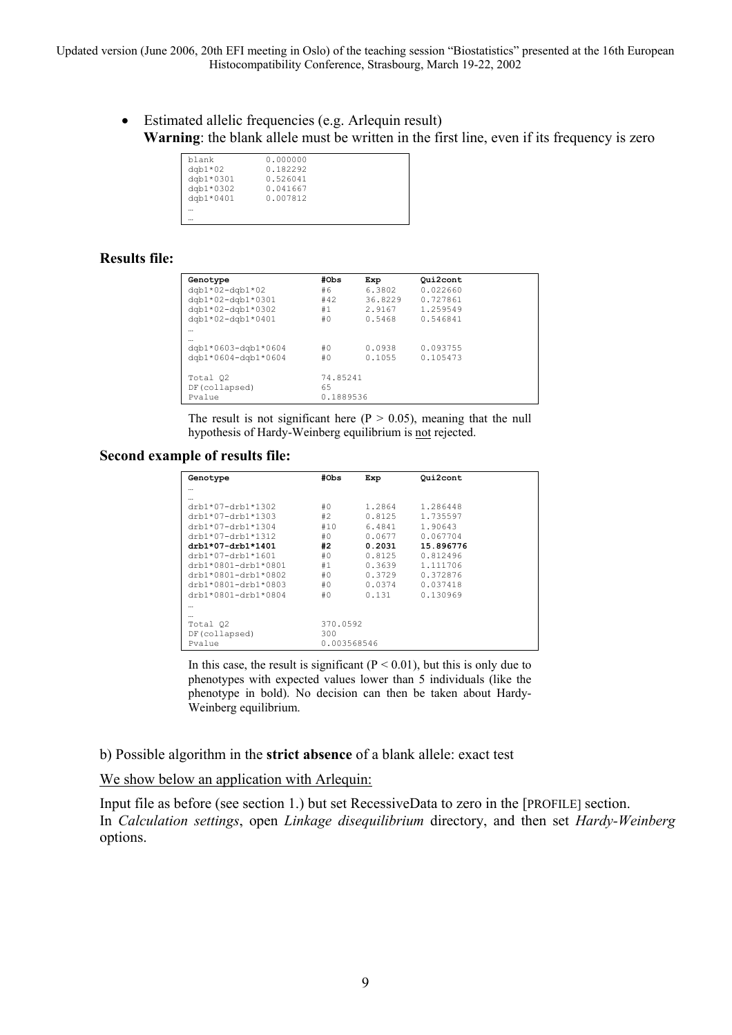> • Estimated allelic frequencies (e.g. Arlequin result) **Warning**: the blank allele must be written in the first line, even if its frequency is zero

| blank     | 0.000000 |
|-----------|----------|
| $dqb1*02$ | 0.182292 |
| dgb1*0301 | 0.526041 |
| dgb1*0302 | 0.041667 |
| dgb1*0401 | 0.007812 |
|           |          |
|           |          |

# **Results file:**

| Genotype            | #Obs      | Exp     | Qui2cont |  |
|---------------------|-----------|---------|----------|--|
| $dqb1*02-dqb1*02$   | #6        | 6.3802  | 0.022660 |  |
| dqb1*02-dqb1*0301   | #42       | 36.8229 | 0.727861 |  |
| $dqb1*02-dqb1*0302$ | #1        | 2.9167  | 1.259549 |  |
| dgb1*02-dgb1*0401   | #0        | 0.5468  | 0.546841 |  |
|                     |           |         |          |  |
|                     |           |         |          |  |
| dgb1*0603-dgb1*0604 | #0        | 0.0938  | 0.093755 |  |
| dgb1*0604-dgb1*0604 | #0        | 0.1055  | 0.105473 |  |
|                     |           |         |          |  |
| Total 02            | 74.85241  |         |          |  |
| DF(collapsed)       | 65        |         |          |  |
| Pvalue              | 0.1889536 |         |          |  |

The result is not significant here ( $P > 0.05$ ), meaning that the null hypothesis of Hardy-Weinberg equilibrium is not rejected.

### **Second example of results file:**

| Genotype              | #Obs        | Exp    | Qui2cont  |  |
|-----------------------|-------------|--------|-----------|--|
|                       |             |        |           |  |
|                       |             |        |           |  |
| $drb1*07-drb1*1302$   | #0          | 1.2864 | 1.286448  |  |
| $drb1*07-drb1*1303$   | #2          | 0.8125 | 1.735597  |  |
| $drb1*07-drb1*1304$   | #10         | 6.4841 | 1.90643   |  |
| $drb1*07-drb1*1312$   | #0          | 0.0677 | 0.067704  |  |
| $drb1*07-drb1*1401$   | #2          | 0.2031 | 15.896776 |  |
| $drb1*07-drb1*1601$   | #0          | 0.8125 | 0.812496  |  |
| $drb1*0801-drb1*0801$ | #1          | 0.3639 | 1.111706  |  |
| $drb1*0801-drb1*0802$ | #0          | 0.3729 | 0.372876  |  |
| $drb1*0801-drb1*0803$ | #0          | 0.0374 | 0.037418  |  |
| drb1*0801-drb1*0804   | #0          | 0.131  | 0.130969  |  |
|                       |             |        |           |  |
|                       |             |        |           |  |
| Total 02              | 370.0592    |        |           |  |
| DF(collapsed)         | 300         |        |           |  |
| Pvalue                | 0.003568546 |        |           |  |

In this case, the result is significant ( $P < 0.01$ ), but this is only due to phenotypes with expected values lower than 5 individuals (like the phenotype in bold). No decision can then be taken about Hardy-Weinberg equilibrium.

b) Possible algorithm in the **strict absence** of a blank allele: exact test

We show below an application with Arlequin:

Input file as before (see section 1.) but set RecessiveData to zero in the [PROFILE] section. In *Calculation settings*, open *Linkage disequilibrium* directory, and then set *Hardy-Weinberg* options.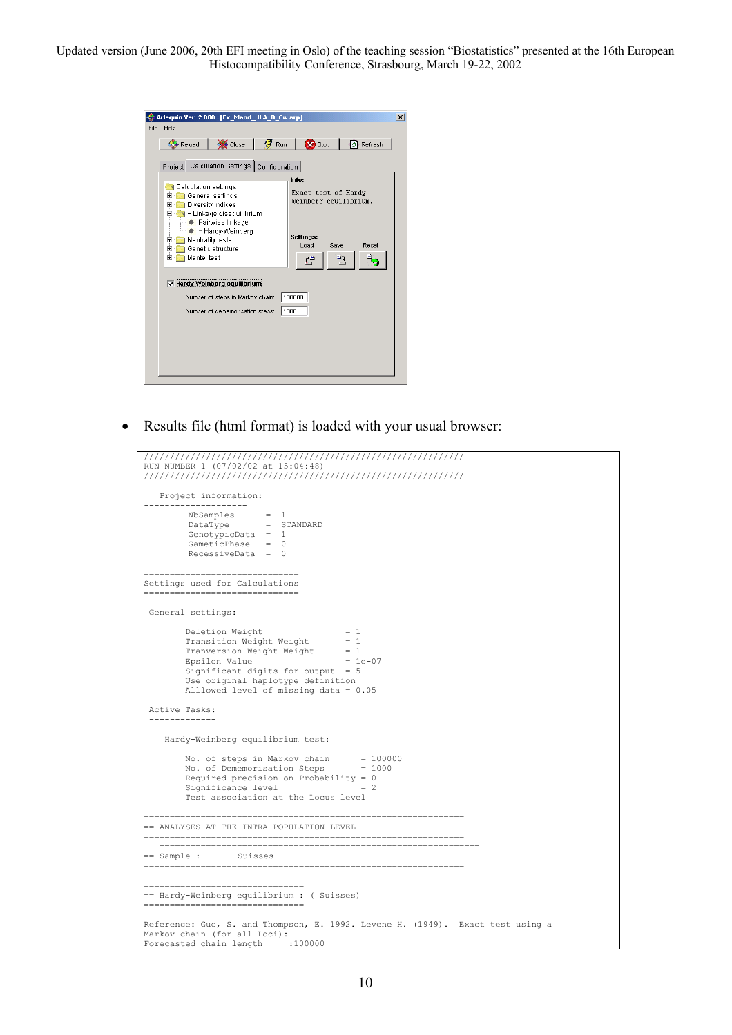|      | $\vert x \vert$<br>Arlequin Ver. 2.000 [Ex_Mand_HLA_B_Cw.arp]           |
|------|-------------------------------------------------------------------------|
| File | Help                                                                    |
|      | $\frac{1}{2}$ Run<br><b>De</b> Stop<br>Close<br>Ø.<br>Refresh<br>Reload |
|      |                                                                         |
|      | Project Calculation Settings Configuration                              |
|      | Info:<br>Calculation settings                                           |
|      | Exact test of Hardy<br>General settings<br>田…<br>Weinberg equilibrium.  |
|      | Diversity indices<br>Ŧ<br>+ Linkage disequilibrium                      |
|      | Pairwise linkage                                                        |
|      | + Hardy-Weinberg<br>Settings:<br>Neutrality tests<br>$\mathbf{H}$       |
|      | Load<br>Reset<br>Save<br>Genetic structure<br>$\overline{+}$            |
|      | Mantel test<br>F-<br>ᅾ<br>련                                             |
|      |                                                                         |
|      | $\triangledown$ Hardy-Weinberg equilibrium                              |
|      | 100000<br>Number of steps in Markov chain:                              |
|      | 1000<br>Number of dememorisation steps:                                 |
|      |                                                                         |
|      |                                                                         |
|      |                                                                         |
|      |                                                                         |
|      |                                                                         |

• Results file (html format) is loaded with your usual browser:

```
////////////////////////////////////////////////////////////// 
RUN NUMBER 1 (07/02/02 at 15:04:48) 
////////////////////////////////////////////////////////////// 
    Project information: 
-------------------- 
         NbSamples = 1<br>DataType = S
                           = STANDARD
          GenotypicData = 1GameticPhase = 0 
         RecessiveData = 0 
=====================================
Settings used for Calculations 
============================== 
  General settings: 
  ----------------- 
         Deletion Weight = 1<br>Transition Weight Weight = 1 Transition Weight Weight = 1 
 Tranversion Weight Weight = 1 
 Epsilon Value = 1e-07 
 Significant digits for output = 5 
 Use original haplotype definition 
          Alllowed level of missing data = 0.05 
 Active Tasks: 
  ------------- 
     Hardy-Weinberg equilibrium test: 
 -------------------------------- 
 No. of steps in Markov chain = 100000 
 No. of Dememorisation Steps = 1000 
         Required precision on Probability = 0<br>Significance level = 2
         Significance level
          Test association at the Locus level 
============================================================== 
== ANALYSES AT THE INTRA-POPULATION LEVEL 
============================================================== 
    ============================================================== 
== Sample : Suisses 
                            ============================================================== 
=============================== 
== Hardy-Weinberg equilibrium : ( Suisses) 
==============================
Reference: Guo, S. and Thompson, E. 1992. Levene H. (1949). Exact test using a 
Markov chain (for all Loci): 
Forecasted chain length :100000
```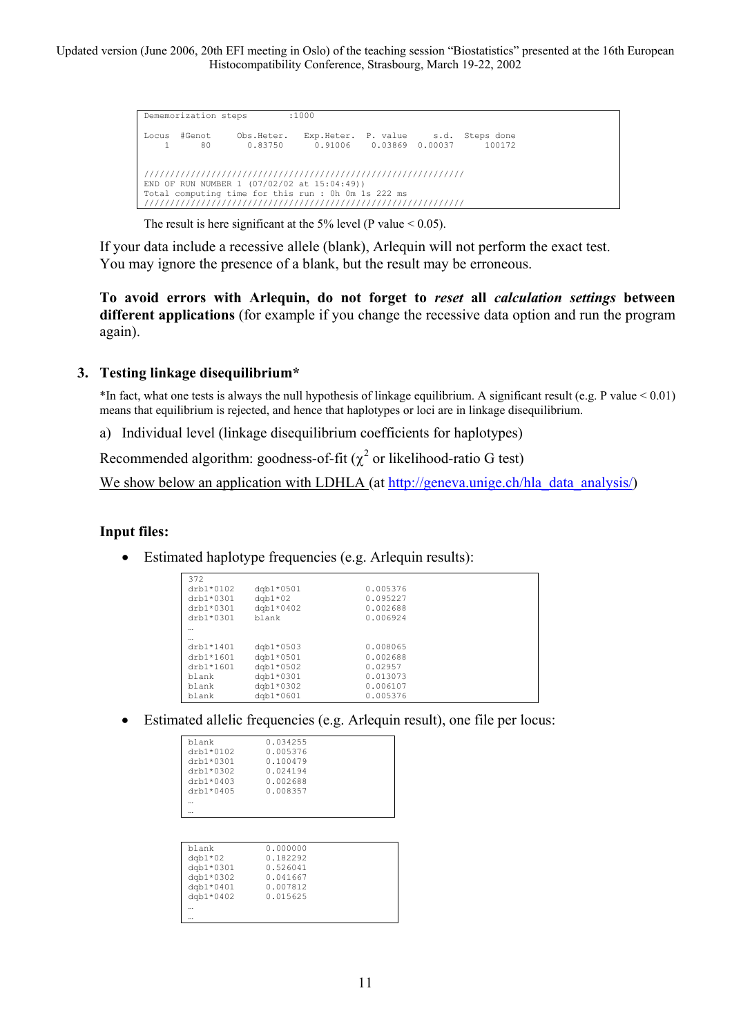Dememorization steps :1000 Locus #Genot Obs.Heter. Exp.Heter. P. value s.d. Steps done 1 80 0.83750 0.91006 0.03869 0.00037 100172 ////////////////////////////////////////////////////////////// END OF RUN NUMBER 1 (07/02/02 at 15:04:49)) Total computing time for this run : 0h 0m 1s 222 ms //////////////////////////////////////////////////////////////

The result is here significant at the 5% level (P value  $\leq 0.05$ ).

If your data include a recessive allele (blank), Arlequin will not perform the exact test. You may ignore the presence of a blank, but the result may be erroneous.

**To avoid errors with Arlequin, do not forget to** *reset* **all** *calculation settings* **between different applications** (for example if you change the recessive data option and run the program again).

# **3. Testing linkage disequilibrium\***

\*In fact, what one tests is always the null hypothesis of linkage equilibrium. A significant result (e.g. P value < 0.01) means that equilibrium is rejected, and hence that haplotypes or loci are in linkage disequilibrium.

a) Individual level (linkage disequilibrium coefficients for haplotypes)

Recommended algorithm: goodness-of-fit ( $\chi^2$  or likelihood-ratio G test)

We show below an application with LDHLA (at [http://geneva.unige.ch/hla\\_data\\_analysis/](http://geneva.unige.ch/tools/))

### **Input files:**

• Estimated haplotype frequencies (e.g. Arlequin results):

| 372         |             |          |  |
|-------------|-------------|----------|--|
| $drb1*0102$ | $dqb1*0501$ | 0.005376 |  |
| drb1*0301   | $dqb1*02$   | 0.095227 |  |
| drb1*0301   | $dqb1*0402$ | 0.002688 |  |
| $drb1*0301$ | blank       | 0.006924 |  |
|             |             |          |  |
|             |             |          |  |
| drb1*1401   | $dqb1*0503$ | 0.008065 |  |
| $drb1*1601$ | $dqb1*0501$ | 0.002688 |  |
| $drb1*1601$ | $dqb1*0502$ | 0.02957  |  |
| blank       | $dqb1*0301$ | 0.013073 |  |
| blank       | $dqb1*0302$ | 0.006107 |  |
| blank       | $dqb1*0601$ | 0.005376 |  |

• Estimated allelic frequencies (e.g. Arlequin result), one file per locus:

| blank       | 0.034255 |
|-------------|----------|
| drb1*0102   | 0.005376 |
| drb1*0301   | 0.100479 |
| drb1*0302   | 0.024194 |
| drb1*0403   | 0.002688 |
| $drb1*0405$ | 0.008357 |
|             |          |
|             |          |
|             |          |

| blank     | 0.000000 |  |
|-----------|----------|--|
| $dqb1*02$ | 0.182292 |  |
| dqb1*0301 | 0.526041 |  |
| dqb1*0302 | 0.041667 |  |
| dgb1*0401 | 0.007812 |  |
| dgb1*0402 | 0.015625 |  |
|           |          |  |
|           |          |  |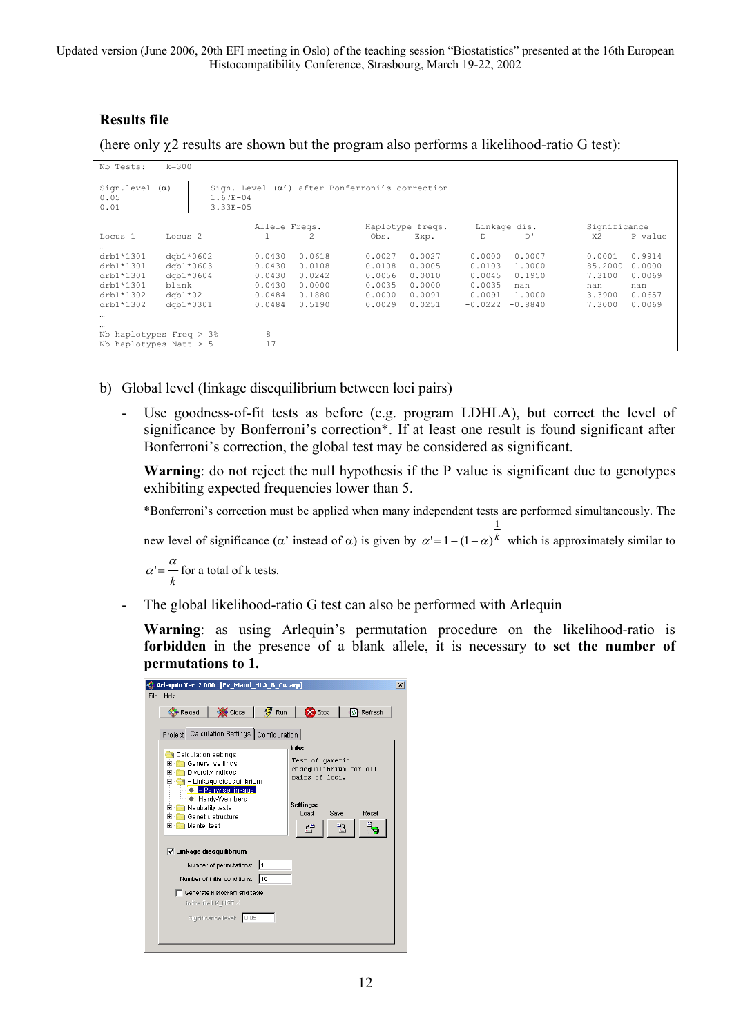# **Results file**

(here only  $\gamma$ 2 results are shown but the program also performs a likelihood-ratio G test):

| Nb Tests:                             | $k = 300$                    |                  |                                                       |                  |                  |                     |                  |                   |                  |
|---------------------------------------|------------------------------|------------------|-------------------------------------------------------|------------------|------------------|---------------------|------------------|-------------------|------------------|
| Sign.level $(\alpha)$<br>0.05<br>0.01 | $1.67E - 04$<br>$3.33E - 05$ |                  | Sign. Level $(\alpha')$ after Bonferroni's correction |                  |                  |                     |                  |                   |                  |
|                                       |                              | Allele Freqs.    |                                                       |                  | Haplotype freqs. |                     | Linkage dis.     | Significance      |                  |
| Locus 1                               | Locus <sub>2</sub>           | Ŧ.               |                                                       | Obs.             | Exp.             | D                   | D'               | X <sub>2</sub>    | P value          |
| $\cdots$<br>drb1*1301                 | $dqb1*0602$                  | 0.0430           | 0.0618                                                | 0.0027           | 0.0027           | 0.0000              | 0.0007           | 0.0001            | 0.9914           |
| drb1*1301<br>drb1*1301                | $dqb1*0603$<br>$dqb1*0604$   | 0.0430<br>0.0430 | 0.0108<br>0.0242                                      | 0.0108<br>0.0056 | 0.0005<br>0.0010 | 0.0103<br>0.0045    | 1,0000<br>0.1950 | 85,2000<br>7.3100 | 0.0000<br>0.0069 |
| drb1*1301<br>$drb1*1302$              | blank<br>$d$ gb $1*02$       | 0.0430<br>0.0484 | 0.0000<br>0.1880                                      | 0.0035<br>0.0000 | 0.0000<br>0.0091 | 0.0035<br>$-0.0091$ | nan<br>$-1.0000$ | nan<br>3.3900     | nan<br>0.0657    |
| $drb1*1302$                           | dgb1*0301                    | 0.0484           | 0.5190                                                | 0.0029           | 0.0251           | $-0.0222$           | $-0.8840$        | 7.3000            | 0.0069           |
| $\cdots$<br>$\cdots$                  |                              |                  |                                                       |                  |                  |                     |                  |                   |                  |
|                                       | Nb haplotypes Freq $>$ 3%    | 8                |                                                       |                  |                  |                     |                  |                   |                  |
|                                       | Nb haplotypes Natt $> 5$     | 17               |                                                       |                  |                  |                     |                  |                   |                  |

- b) Global level (linkage disequilibrium between loci pairs)
	- Use goodness-of-fit tests as before (e.g. program LDHLA), but correct the level of significance by Bonferroni's correction\*. If at least one result is found significant after Bonferroni's correction, the global test may be considered as significant.

**Warning**: do not reject the null hypothesis if the P value is significant due to genotypes exhibiting expected frequencies lower than 5.

\*Bonferroni's correction must be applied when many independent tests are performed simultaneously. The

new level of significance ( $\alpha$ ' instead of  $\alpha$ ) is given by  $\alpha' = 1 - (1 - \alpha)^k$  $\alpha' = 1 - (1 - \alpha)^k$  which is approximately similar to

1

*k*  $\alpha' = \frac{\alpha}{\alpha}$  for a total of k tests.

The global likelihood-ratio G test can also be performed with Arlequin

**Warning**: as using Arlequin's permutation procedure on the likelihood-ratio is **forbidden** in the presence of a blank allele, it is necessary to **set the number of permutations to 1.** 

|      | Arlequin Ver. 2.000 [Ex_Mand_HLA_B_Cw.arp]                                                                                                                                                                                                          |                               |                   |                |                                                |                                 | $\vert x \vert$ |
|------|-----------------------------------------------------------------------------------------------------------------------------------------------------------------------------------------------------------------------------------------------------|-------------------------------|-------------------|----------------|------------------------------------------------|---------------------------------|-----------------|
| File | Help                                                                                                                                                                                                                                                |                               |                   |                |                                                |                                 |                 |
|      | Reload                                                                                                                                                                                                                                              | Close                         | $\mathcal{F}$ Run | <b>De</b> Stop |                                                | ₿ Refresh                       |                 |
|      | Project Calculation Settings Configuration                                                                                                                                                                                                          |                               |                   | Info:          |                                                |                                 |                 |
|      | Calculation settings<br>General settings<br>$\overline{+}$<br>Diversity indices<br>ஈ<br>+ Linkage disequilibrium<br>+ Pairwise linkage<br>+ Hardy-Weinberg<br>Neutrality tests<br>Ŧ<br>Genetic structure<br>$\overline{+}$<br><b>E-</b> Mantel test |                               |                   |                | Test of gametic<br>pairs of loci.<br>Save<br>印 | disequilibrium for all<br>Reset |                 |
|      | $\triangledown$ Linkage disequilibrium                                                                                                                                                                                                              |                               |                   |                |                                                |                                 |                 |
|      |                                                                                                                                                                                                                                                     | Number of permutations:       | l1                |                |                                                |                                 |                 |
|      |                                                                                                                                                                                                                                                     | Number of initial conditions: | 110               |                |                                                |                                 |                 |
|      |                                                                                                                                                                                                                                                     | Generate histogram and table  |                   |                |                                                |                                 |                 |
|      |                                                                                                                                                                                                                                                     | in the file LK HIST.xl        |                   |                |                                                |                                 |                 |
|      |                                                                                                                                                                                                                                                     | Significance level: 0.05      |                   |                |                                                |                                 |                 |
|      |                                                                                                                                                                                                                                                     |                               |                   |                |                                                |                                 |                 |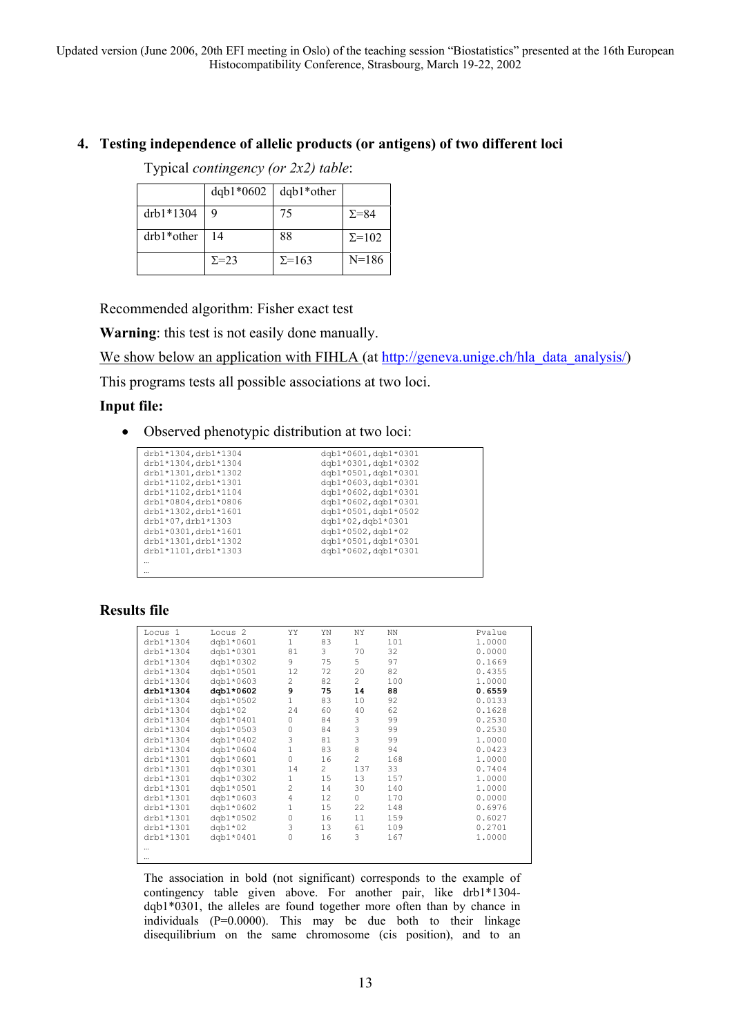### **4. Testing independence of allelic products (or antigens) of two different loci**

Typical *contingency (or 2x2) table*:

|            | $dqb1*0602$   | $dqb1*other$  |                |
|------------|---------------|---------------|----------------|
| drb1*1304  | 9             | 75            | $\Sigma = 84$  |
| drb1*other | 14            | 88            | $\Sigma = 102$ |
|            | $\Sigma = 23$ | $\Sigma$ =163 | $N=186$        |

Recommended algorithm: Fisher exact test

**Warning**: this test is not easily done manually.

We show below an application with FIHLA (at [http://geneva.unige.ch/hla\\_data\\_analysis/\)](http://geneva.unige.ch/tools/)

This programs tests all possible associations at two loci.

### **Input file:**

• Observed phenotypic distribution at two loci:

| drb1*1304, drb1*1304 | dqb1*0601,dqb1*0301     |
|----------------------|-------------------------|
| drb1*1304, drb1*1304 | dqb1*0301,dqb1*0302     |
| drb1*1301, drb1*1302 | dqb1*0501,dqb1*0301     |
| drb1*1102, drb1*1301 | dqb1*0603,dqb1*0301     |
| drb1*1102, drb1*1104 | dgb1*0602,dgb1*0301     |
| drb1*0804, drb1*0806 | dqb1*0602,dqb1*0301     |
| drb1*1302, drb1*1601 | dqb1*0501,dqb1*0502     |
| drb1*07, drb1*1303   | dgb1*02,dgb1*0301       |
| drb1*0301, drb1*1601 | $dqb1*0502$ , $dqb1*02$ |
| drb1*1301, drb1*1302 | dqb1*0501,dqb1*0301     |
| drb1*1101, drb1*1303 | dgb1*0602,dgb1*0301     |
|                      |                         |
|                      |                         |

### **Results file**

| Locus <sub>1</sub> | Locus <sub>2</sub> | YY             | YN             | ΝY             | <b>NN</b> | Pvalue |
|--------------------|--------------------|----------------|----------------|----------------|-----------|--------|
| drb1*1304          | dgb1*0601          | $\mathbf{1}$   | 83             | $\mathbf{1}$   | 101       | 1,0000 |
| drb1*1304          | dgb1*0301          | 81             | 3              | 70             | 32        | 0.0000 |
| drb1*1304          | dgb1*0302          | 9              | 75             | 5              | 97        | 0.1669 |
| drb1*1304          | dgb1*0501          | 12             | 72             | 20             | 82        | 0.4355 |
| drb1*1304          | dqb1*0603          | $\overline{c}$ | 82             | $\overline{2}$ | 100       | 1,0000 |
| drb1*1304          | dqb1*0602          | 9              | 75             | 14             | 88        | 0.6559 |
| drb1*1304          | dgb1*0502          | $\mathbf{1}$   | 83             | 10             | 92        | 0.0133 |
| drb1*1304          | $dqb1*02$          | 24             | 60             | 40             | 62        | 0.1628 |
| drb1*1304          | dgb1*0401          | 0              | 84             | 3              | 99        | 0.2530 |
| drb1*1304          | dgb1*0503          | 0              | 84             | 3              | 99        | 0.2530 |
| drb1*1304          | dqb1*0402          | 3              | 81             | 3              | 99        | 1.0000 |
| drb1*1304          | dqb1*0604          | $\mathbf 1$    | 83             | 8              | 94        | 0.0423 |
| drb1*1301          | dqb1*0601          | 0              | 16             | $\overline{c}$ | 168       | 1,0000 |
| drb1*1301          | dgb1*0301          | 14             | $\overline{2}$ | 137            | 33        | 0.7404 |
| drb1*1301          | dgb1*0302          | $1\,$          | 15             | 13             | 157       | 1.0000 |
| drb1*1301          | dgb1*0501          | $\overline{c}$ | 14             | 30             | 140       | 1,0000 |
| drb1*1301          | dgb1*0603          | $\overline{4}$ | 12             | 0              | 170       | 0.0000 |
| drb1*1301          | dqb1*0602          | $\mathbf 1$    | 15             | 22             | 148       | 0.6976 |
| drb1*1301          | dqb1*0502          | 0              | 16             | 11             | 159       | 0.6027 |
| drb1*1301          | $dqb1*02$          | 3              | 13             | 61             | 109       | 0.2701 |
| drb1*1301          | dgb1*0401          | 0              | 16             | 3              | 167       | 1.0000 |
|                    |                    |                |                |                |           |        |
|                    |                    |                |                |                |           |        |

The association in bold (not significant) corresponds to the example of contingency table given above. For another pair, like drb1\*1304 dqb1\*0301, the alleles are found together more often than by chance in individuals (P=0.0000). This may be due both to their linkage disequilibrium on the same chromosome (cis position), and to an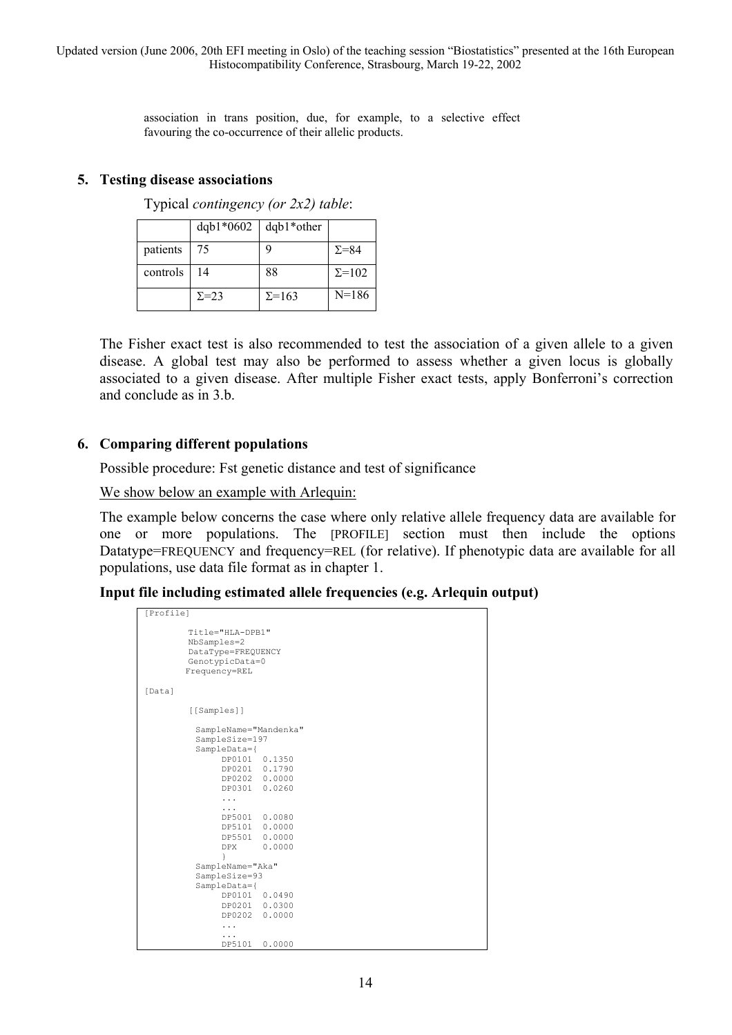> association in trans position, due, for example, to a selective effect favouring the co-occurrence of their allelic products.

#### **5. Testing disease associations**

Typical *contingency (or 2x2) table*:

|          | $dqb1*0602$   | $dqb1*other$  |                |
|----------|---------------|---------------|----------------|
| patients | 75            | Q             | $\Sigma = 84$  |
| controls | 14            | 88            | $\Sigma = 102$ |
|          | $\Sigma = 23$ | $\Sigma$ =163 | $N = 186$      |

The Fisher exact test is also recommended to test the association of a given allele to a given disease. A global test may also be performed to assess whether a given locus is globally associated to a given disease. After multiple Fisher exact tests, apply Bonferroni's correction and conclude as in 3.b.

#### **6. Comparing different populations**

Possible procedure: Fst genetic distance and test of significance

We show below an example with Arlequin:

The example below concerns the case where only relative allele frequency data are available for one or more populations. The [PROFILE] section must then include the options Datatype=FREQUENCY and frequency=REL (for relative). If phenotypic data are available for all populations, use data file format as in chapter 1.

**Input file including estimated allele frequencies (e.g. Arlequin output)** 

```
[Profile] 
          Title="HLA-DPB1" 
          NbSamples=2 
          DataType=FREQUENCY 
          GenotypicData=0 
         Frequency=REL 
[Data]
          [[Samples]] 
           SampleName="Mandenka" 
           SampleSize=197 
           SampleData={ 
                DP0101 0.1350 
                DP0201 0.1790 
 DP0202 0.0000 
 DP0301 0.0260 
                 ... 
 ... 
               DP5001 0.0080<br>DP5101 0.0000
               DP5101
                DP5501 0.0000 
                DPX 0.0000 
 } 
 SampleName="Aka" 
           SampleSize=93 
           SampleData={ 
                DP0101 0.0490 
                DP0201 0.0300 
                DP0202 0.0000 
                 ... 
 ... 
                 DP5101 0.0000
```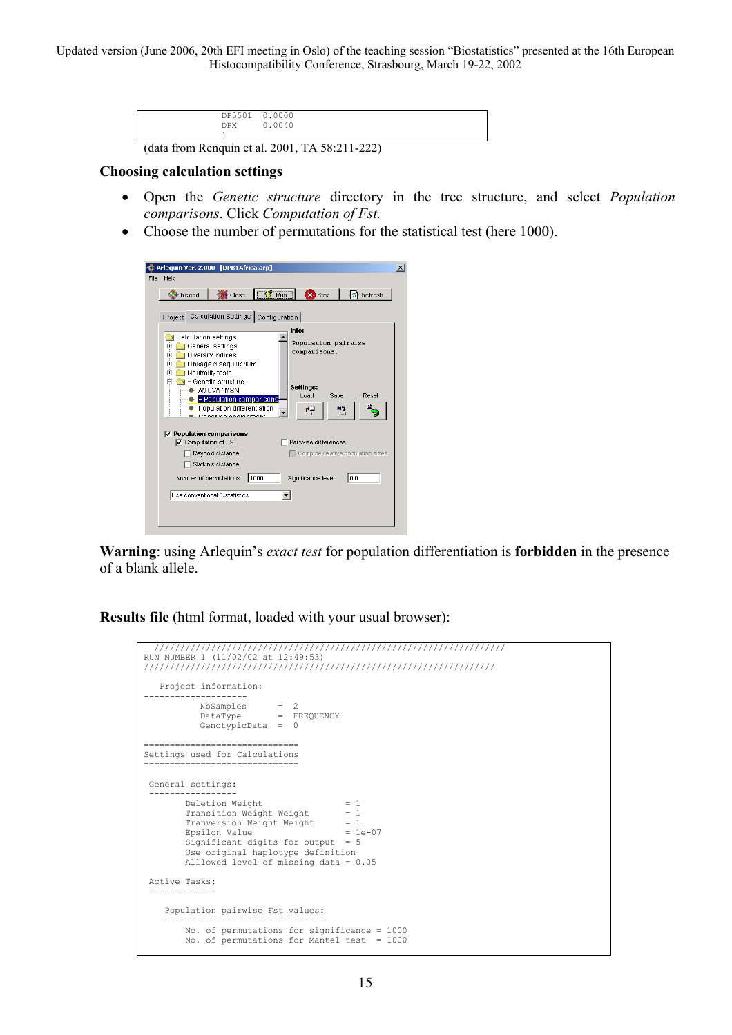| <b>DPX</b>                                     | DP5501 0.0000<br>0.0040 |  |  |  |  |
|------------------------------------------------|-------------------------|--|--|--|--|
|                                                |                         |  |  |  |  |
| (data from Renquin et al. 2001, TA 58:211-222) |                         |  |  |  |  |

#### **Choosing calculation settings**

- Open the *Genetic structure* directory in the tree structure, and select *Population comparisons*. Click *Computation of Fst.*
- Choose the number of permutations for the statistical test (here 1000).

|      | Arleguin Ver. 2.000 [DPB1Africa.arp]                              |  |
|------|-------------------------------------------------------------------|--|
| File | Help                                                              |  |
|      | Run<br>Close<br>X <sup>3</sup> Stop<br>Refresh<br>Reload<br>M.    |  |
|      |                                                                   |  |
|      | Project Calculation Settings Configuration                        |  |
|      | Info:<br>Calculation settings                                     |  |
|      | Population pairwise<br>General settings<br>田…                     |  |
|      | comparisons.<br>Diversity indices<br>[∓]…                         |  |
|      | Linkage disequilibrium<br>[∓]…<br>Neutrality tests<br>田           |  |
|      | 1 + Genetic structure<br>Settings:                                |  |
|      | AMOVA / MSN<br>Load.<br>Reset<br>Save<br>+ Population comparisons |  |
|      | Population differentiation<br>ÈΓ,<br>력                            |  |
|      | Gonatina occidentati                                              |  |
|      | $\triangledown$ Population comparisons                            |  |
|      | ○ Computation of FST<br>Pairwise differences                      |  |
|      | Reynold distance<br>$\Box$ Compute relative population sizes      |  |
|      | Slatkin's distance                                                |  |
|      | 1000<br>0.0<br>Significance level:<br>Number of permutations:     |  |
|      | Use conventional F-statistics                                     |  |
|      |                                                                   |  |
|      |                                                                   |  |
|      |                                                                   |  |

**Warning**: using Arlequin's *exact test* for population differentiation is **forbidden** in the presence of a blank allele.

**Results file** (html format, loaded with your usual browser):

```
 //////////////////////////////////////////////////////////////////// 
RUN NUMBER 1 (11/02/02 at 12:49:53) 
//////////////////////////////////////////////////////////////////// 
 Project information: 
-------------------- 
NbSamples = 2 
DataType = FREQUENCY 
           GenotypicData = 0============================== 
Settings used for Calculations 
============================== 
 General settings: 
 ----------------- 
 Deletion Weight = 1 
         Transition Weight Weight = \frac{1}{1}Tranversion Weight Weight = 1
         Epsilon = 1e-07 Significant digits for output = 5 
          Use original haplotype definition 
          Alllowed level of missing data = 0.05 
  Active Tasks: 
  ------------- 
     Population pairwise Fst values: 
 ------------------------------- 
          No. of permutations for significance = 1000 
         No. of permutations for Mantel test = 1000
```